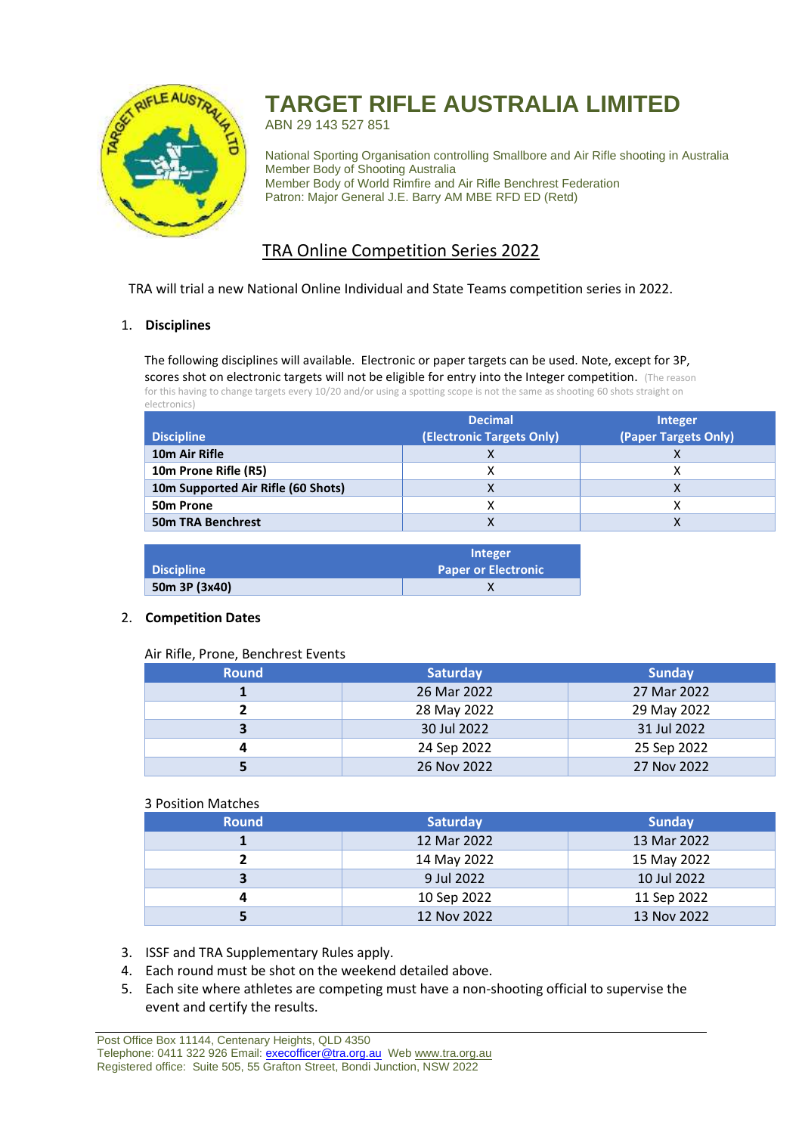

# **TARGET RIFLE AUSTRALIA LIMITED**

ABN 29 143 527 851

National Sporting Organisation controlling Smallbore and Air Rifle shooting in Australia Member Body of Shooting Australia Member Body of World Rimfire and Air Rifle Benchrest Federation Patron: Major General J.E. Barry AM MBE RFD ED (Retd)

## TRA Online Competition Series 2022

TRA will trial a new National Online Individual and State Teams competition series in 2022.

### 1. **Disciplines**

The following disciplines will available. Electronic or paper targets can be used. Note, except for 3P, scores shot on electronic targets will not be eligible for entry into the Integer competition. (The reason for this having to change targets every 10/20 and/or using a spotting scope is not the same as shooting 60 shots straight on electronics)

|                                    | <b>Decimal</b>            | Integer              |
|------------------------------------|---------------------------|----------------------|
| <b>Discipline</b>                  | (Electronic Targets Only) | (Paper Targets Only) |
| 10 <sub>m</sub> Air Rifle          |                           |                      |
| 10m Prone Rifle (R5)               |                           |                      |
| 10m Supported Air Rifle (60 Shots) |                           |                      |
| 50 <sub>m</sub> Prone              |                           |                      |
| <b>50m TRA Benchrest</b>           |                           |                      |
|                                    |                           |                      |

|               | <b>Integer</b>             |
|---------------|----------------------------|
| Discipline    | <b>Paper or Electronic</b> |
| 50m 3P (3x40) |                            |

#### 2. **Competition Dates**

#### Air Rifle, Prone, Benchrest Events

| <b>Round</b> | <b>Saturday</b> | <b>Sunday</b> |
|--------------|-----------------|---------------|
|              | 26 Mar 2022     | 27 Mar 2022   |
|              | 28 May 2022     | 29 May 2022   |
| 3            | 30 Jul 2022     | 31 Jul 2022   |
|              | 24 Sep 2022     | 25 Sep 2022   |
|              | 26 Nov 2022     | 27 Nov 2022   |

#### 3 Position Matches

| ----------------- |                 |               |
|-------------------|-----------------|---------------|
| <b>Round</b>      | <b>Saturday</b> | <b>Sunday</b> |
|                   | 12 Mar 2022     | 13 Mar 2022   |
|                   | 14 May 2022     | 15 May 2022   |
| 3                 | 9 Jul 2022      | 10 Jul 2022   |
|                   | 10 Sep 2022     | 11 Sep 2022   |
|                   | 12 Nov 2022     | 13 Nov 2022   |

- 3. ISSF and TRA Supplementary Rules apply.
- 4. Each round must be shot on the weekend detailed above.
- 5. Each site where athletes are competing must have a non-shooting official to supervise the event and certify the results.

Post Office Box 11144, Centenary Heights, QLD 4350 Telephone: 0411 322 926 Email: [execofficer@tra.org.au](mailto:execofficer@tra.org.au) Web [www.tra.org.au](http://www.tra.org.au/) Registered office: Suite 505, 55 Grafton Street, Bondi Junction, NSW 2022